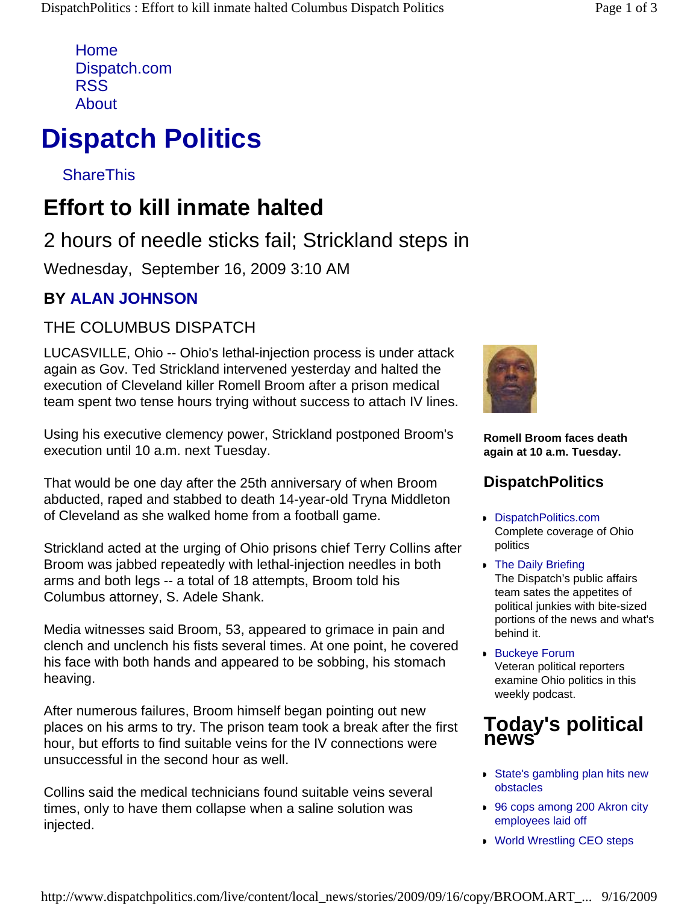Home Dispatch.com RSS About

# **Dispatch Politics**

**ShareThis** 

## **Effort to kill inmate halted**

### 2 hours of needle sticks fail; Strickland steps in

Wednesday, September 16, 2009 3:10 AM

#### **BY ALAN JOHNSON**

#### THE COLUMBUS DISPATCH

LUCASVILLE, Ohio -- Ohio's lethal-injection process is under attack again as Gov. Ted Strickland intervened yesterday and halted the execution of Cleveland killer Romell Broom after a prison medical team spent two tense hours trying without success to attach IV lines.

Using his executive clemency power, Strickland postponed Broom's execution until 10 a.m. next Tuesday.

That would be one day after the 25th anniversary of when Broom abducted, raped and stabbed to death 14-year-old Tryna Middleton of Cleveland as she walked home from a football game.

Strickland acted at the urging of Ohio prisons chief Terry Collins after Broom was jabbed repeatedly with lethal-injection needles in both arms and both legs -- a total of 18 attempts, Broom told his Columbus attorney, S. Adele Shank.

Media witnesses said Broom, 53, appeared to grimace in pain and clench and unclench his fists several times. At one point, he covered his face with both hands and appeared to be sobbing, his stomach heaving.

After numerous failures, Broom himself began pointing out new places on his arms to try. The prison team took a break after the first hour, but efforts to find suitable veins for the IV connections were unsuccessful in the second hour as well.

Collins said the medical technicians found suitable veins several times, only to have them collapse when a saline solution was injected.



**Romell Broom faces death again at 10 a.m. Tuesday.** 

#### **DispatchPolitics**

- **DispatchPolitics.com** Complete coverage of Ohio politics
- **The Daily Briefing** The Dispatch's public affairs team sates the appetites of political junkies with bite-sized portions of the news and what's behind it.
- **Buckeye Forum** Veteran political reporters examine Ohio politics in this weekly podcast.

#### **Today's political news**

- State's gambling plan hits new obstacles
- 96 cops among 200 Akron city employees laid off
- **World Wrestling CEO steps**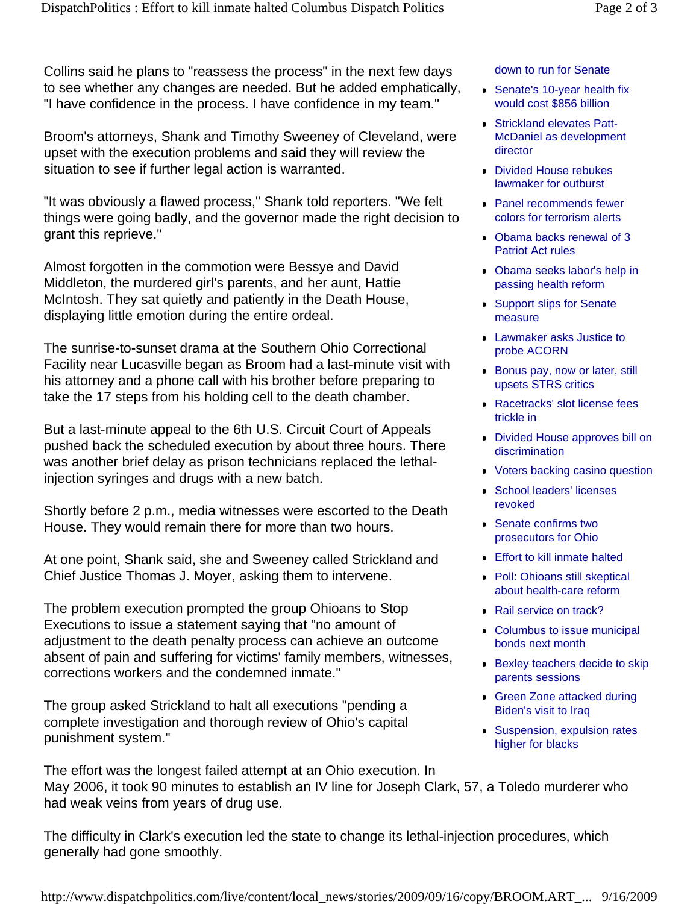Collins said he plans to "reassess the process" in the next few days to see whether any changes are needed. But he added emphatically, "I have confidence in the process. I have confidence in my team."

Broom's attorneys, Shank and Timothy Sweeney of Cleveland, were upset with the execution problems and said they will review the situation to see if further legal action is warranted.

"It was obviously a flawed process," Shank told reporters. "We felt things were going badly, and the governor made the right decision to grant this reprieve."

Almost forgotten in the commotion were Bessye and David Middleton, the murdered girl's parents, and her aunt, Hattie McIntosh. They sat quietly and patiently in the Death House, displaying little emotion during the entire ordeal.

The sunrise-to-sunset drama at the Southern Ohio Correctional Facility near Lucasville began as Broom had a last-minute visit with his attorney and a phone call with his brother before preparing to take the 17 steps from his holding cell to the death chamber.

But a last-minute appeal to the 6th U.S. Circuit Court of Appeals pushed back the scheduled execution by about three hours. There was another brief delay as prison technicians replaced the lethalinjection syringes and drugs with a new batch.

Shortly before 2 p.m., media witnesses were escorted to the Death House. They would remain there for more than two hours.

At one point, Shank said, she and Sweeney called Strickland and Chief Justice Thomas J. Moyer, asking them to intervene.

The problem execution prompted the group Ohioans to Stop Executions to issue a statement saying that "no amount of adjustment to the death penalty process can achieve an outcome absent of pain and suffering for victims' family members, witnesses, corrections workers and the condemned inmate."

The group asked Strickland to halt all executions "pending a complete investigation and thorough review of Ohio's capital punishment system."

The effort was the longest failed attempt at an Ohio execution. In May 2006, it took 90 minutes to establish an IV line for Joseph Clark, 57, a Toledo murderer who had weak veins from years of drug use.

The difficulty in Clark's execution led the state to change its lethal-injection procedures, which generally had gone smoothly.

down to run for Senate

- Senate's 10-year health fix would cost \$856 billion
- **Strickland elevates Patt-**McDaniel as development director
- **Divided House rebukes** lawmaker for outburst
- **Panel recommends fewer** colors for terrorism alerts
- Obama backs renewal of 3 Patriot Act rules
- Obama seeks labor's help in passing health reform
- **Support slips for Senate** measure
- **Lawmaker asks Justice to** probe ACORN
- **Bonus pay, now or later, still** upsets STRS critics
- **Racetracks' slot license fees** trickle in
- **Divided House approves bill on** discrimination
- **Voters backing casino question**
- **School leaders' licenses** revoked
- **Senate confirms two** prosecutors for Ohio
- **Effort to kill inmate halted**
- **Poll: Ohioans still skeptical** about health-care reform
- Rail service on track?
- **Columbus to issue municipal** bonds next month
- **Bexley teachers decide to skip** parents sessions
- **Green Zone attacked during** Biden's visit to Iraq
- **Suspension, expulsion rates** higher for blacks